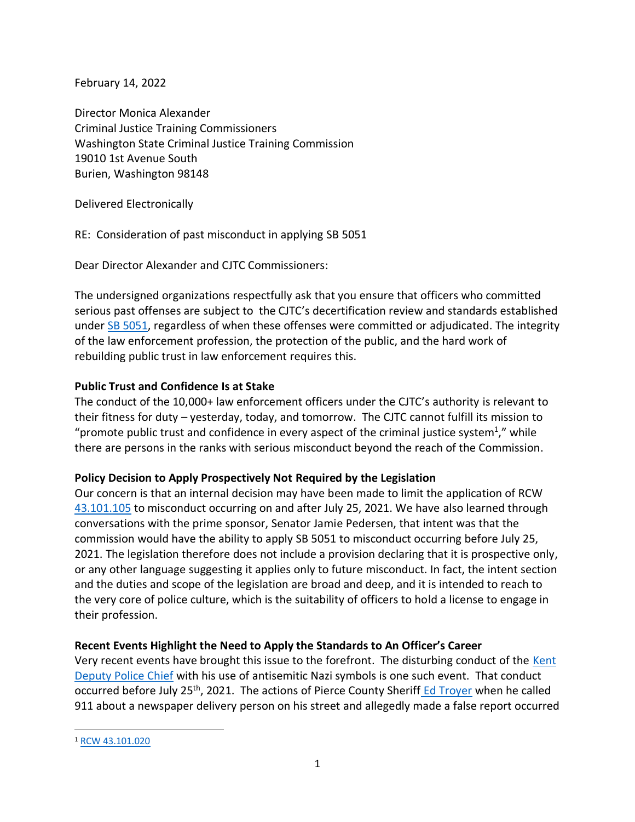February 14, 2022

Director Monica Alexander Criminal Justice Training Commissioners Washington State Criminal Justice Training Commission 19010 1st Avenue South Burien, Washington 98148

Delivered Electronically

RE: Consideration of past misconduct in applying SB 5051

Dear Director Alexander and CJTC Commissioners:

The undersigned organizations respectfully ask that you ensure that officers who committed serious past offenses are subject to the CJTC's decertification review and standards established under [SB 5051,](https://lawfilesext.leg.wa.gov/biennium/2021-22/Pdf/Bills/Session%20Laws/Senate/5051-S2.SL.pdf?q=20220115173510) regardless of when these offenses were committed or adjudicated. The integrity of the law enforcement profession, the protection of the public, and the hard work of rebuilding public trust in law enforcement requires this.

## **Public Trust and Confidence Is at Stake**

The conduct of the 10,000+ law enforcement officers under the CJTC's authority is relevant to their fitness for duty – yesterday, today, and tomorrow. The CJTC cannot fulfill its mission to "promote public trust and confidence in every aspect of the criminal justice system<sup>1</sup>," while there are persons in the ranks with serious misconduct beyond the reach of the Commission.

## **Policy Decision to Apply Prospectively Not Required by the Legislation**

Our concern is that an internal decision may have been made to limit the application of RCW [43.101.105](https://app.leg.wa.gov/RCW/default.aspx?cite=43.101.105) to misconduct occurring on and after July 25, 2021. We have also learned through conversations with the prime sponsor, Senator Jamie Pedersen, that intent was that the commission would have the ability to apply SB 5051 to misconduct occurring before July 25, 2021. The legislation therefore does not include a provision declaring that it is prospective only, or any other language suggesting it applies only to future misconduct. In fact, the intent section and the duties and scope of the legislation are broad and deep, and it is intended to reach to the very core of police culture, which is the suitability of officers to hold a license to engage in their profession.

## **Recent Events Highlight the Need to Apply the Standards to An Officer's Career**

Very recent events have brought this issue to the forefront. The disturbing conduct of the Kent [Deputy Police Chief](https://www.seattletimes.com/seattle-news/law-justice/kent-assistant-police-chief-disciplined-for-posting-nazi-insignia-and-joking-about-the-holocaust/) with his use of antisemitic Nazi symbols is one such event. That conduct occurred before July 25<sup>th</sup>, 2021. The actions of Pierce County Sheriff [Ed Troyer](https://www.seattletimes.com/seattle-news/law-justice/july-trial-date-set-for-pierce-county-sheriff-ed-troyer-on-false-reporting-charges/) when he called 911 about a newspaper delivery person on his street and allegedly made a false report occurred

<sup>1</sup> [RCW 43.101.020](https://app.leg.wa.gov/rcw/default.aspx?cite=43.101.020)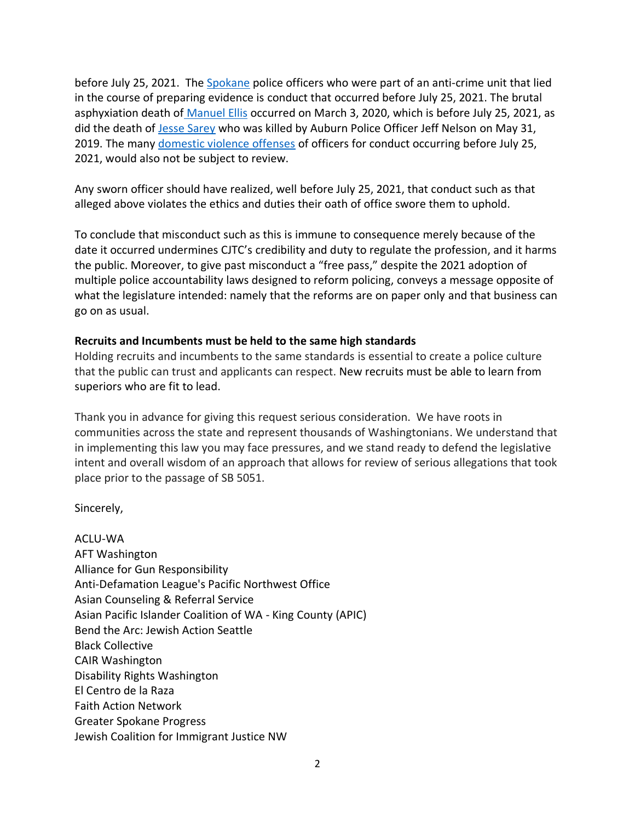before July 25, 2021. The [Spokane](https://www.spokesman.com/stories/2021/dec/17/police-chief-suspends-anti-crime-team-reassigns-of/) police officers who were part of an anti-crime unit that lied in the course of preparing evidence is conduct that occurred before July 25, 2021. The brutal asphyxiation death of [Manuel Ellis](https://www.atg.wa.gov/news/news-releases/ag-ferguson-charges-three-officers-killing-manuel-ellis) occurred on March 3, 2020, which is before July 25, 2021, as did the death of [Jesse Sarey](https://www.seattletimes.com/seattle-news/auburn-officer-charged-with-murder-has-history-of-using-force-be-it-dog-fist-or-gun/) who was killed by Auburn Police Officer Jeff Nelson on May 31, 2019. The many [domestic violence offenses](https://publicola.com/2021/07/27/officers-accused-of-domestic-violence-can-be-found-at-every-level-in-spd-advocates-for-survivors-say-thats-a-problem/) of officers for conduct occurring before July 25, 2021, would also not be subject to review.

Any sworn officer should have realized, well before July 25, 2021, that conduct such as that alleged above violates the ethics and duties their oath of office swore them to uphold.

To conclude that misconduct such as this is immune to consequence merely because of the date it occurred undermines CJTC's credibility and duty to regulate the profession, and it harms the public. Moreover, to give past misconduct a "free pass," despite the 2021 adoption of multiple police accountability laws designed to reform policing, conveys a message opposite of what the legislature intended: namely that the reforms are on paper only and that business can go on as usual.

## **Recruits and Incumbents must be held to the same high standards**

Holding recruits and incumbents to the same standards is essential to create a police culture that the public can trust and applicants can respect. New recruits must be able to learn from superiors who are fit to lead.

Thank you in advance for giving this request serious consideration. We have roots in communities across the state and represent thousands of Washingtonians. We understand that in implementing this law you may face pressures, and we stand ready to defend the legislative intent and overall wisdom of an approach that allows for review of serious allegations that took place prior to the passage of SB 5051.

Sincerely,

ACLU-WA AFT Washington Alliance for Gun Responsibility Anti-Defamation League's Pacific Northwest Office Asian Counseling & Referral Service Asian Pacific Islander Coalition of WA - King County (APIC) Bend the Arc: Jewish Action Seattle Black Collective CAIR Washington Disability Rights Washington El Centro de la Raza Faith Action Network Greater Spokane Progress Jewish Coalition for Immigrant Justice NW